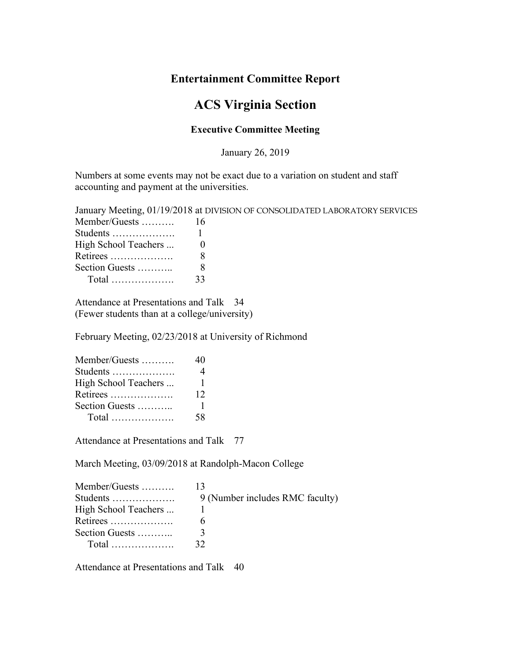## **Entertainment Committee Report**

## **ACS Virginia Section**

## **Executive Committee Meeting**

January 26, 2019

Numbers at some events may not be exact due to a variation on student and staff accounting and payment at the universities.

|                         | January Meeting, 01/19/2018 at DIVISION OF CONSOLIDATED LABORATORY SERVICES |
|-------------------------|-----------------------------------------------------------------------------|
|                         |                                                                             |
|                         |                                                                             |
| High School Teachers  0 |                                                                             |
|                         |                                                                             |
| Section Guests          |                                                                             |
|                         |                                                                             |

Attendance at Presentations and Talk 34 (Fewer students than at a college/university)

February Meeting, 02/23/2018 at University of Richmond

| Member/Guests        | 40  |
|----------------------|-----|
| Students             |     |
| High School Teachers | 1   |
| Retirees             | 12  |
| Section Guests       | 1   |
|                      | 58. |

Attendance at Presentations and Talk 77

March Meeting, 03/09/2018 at Randolph-Macon College

| Member/Guests        |                                 |
|----------------------|---------------------------------|
| Students             | 9 (Number includes RMC faculty) |
| High School Teachers |                                 |
| Retirees             |                                 |
| Section Guests       |                                 |
|                      | 32                              |

Attendance at Presentations and Talk 40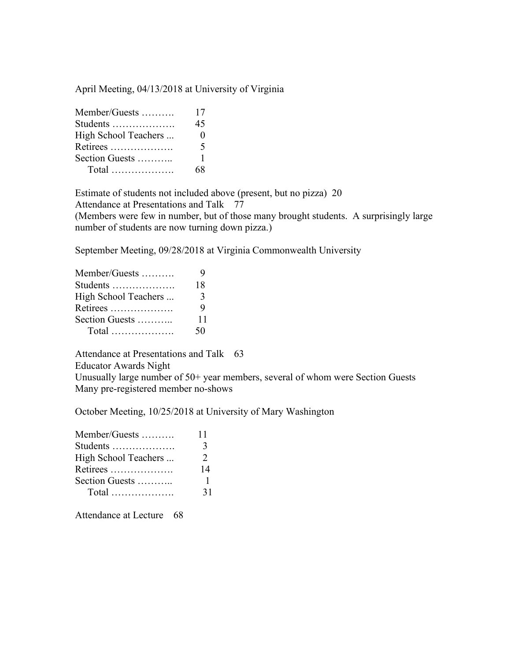April Meeting, 04/13/2018 at University of Virginia

| Member/Guests        | 17                |
|----------------------|-------------------|
| Students             | 45                |
| High School Teachers | $\mathbf{\Omega}$ |
| Retirees             | 5                 |
| Section Guests       | 1                 |
| $Total$              | 6Х                |

Estimate of students not included above (present, but no pizza) 20 Attendance at Presentations and Talk 77

(Members were few in number, but of those many brought students. A surprisingly large number of students are now turning down pizza.)

September Meeting, 09/28/2018 at Virginia Commonwealth University

| Member/Guests        | 9  |
|----------------------|----|
| Students             | 18 |
| High School Teachers | 3  |
| Retirees             | 9  |
| Section Guests       | 11 |
|                      | 50 |

Attendance at Presentations and Talk 63

Educator Awards Night

Unusually large number of 50+ year members, several of whom were Section Guests Many pre-registered member no-shows

October Meeting, 10/25/2018 at University of Mary Washington

| Member/Guests        | 11            |
|----------------------|---------------|
| Students             | 3             |
| High School Teachers | $\mathcal{L}$ |
| Retirees             | 14            |
| Section Guests       |               |
|                      | 31            |

Attendance at Lecture 68